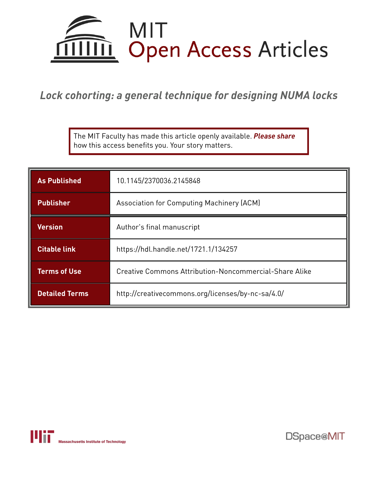

*Lock cohorting: a general technique for designing NUMA locks*

The MIT Faculty has made this article openly available. *[Please](https://libraries.mit.edu/forms/dspace-oa-articles.html) share* how this access benefits you. Your story matters.

| <b>As Published</b>                                         | 10.1145/2370036.2145848                                |  |  |  |  |  |
|-------------------------------------------------------------|--------------------------------------------------------|--|--|--|--|--|
| <b>Publisher</b>                                            | Association for Computing Machinery (ACM)              |  |  |  |  |  |
| <b>Version</b><br>Author's final manuscript                 |                                                        |  |  |  |  |  |
| https://hdl.handle.net/1721.1/134257<br><b>Citable link</b> |                                                        |  |  |  |  |  |
| <b>Terms of Use</b>                                         | Creative Commons Attribution-Noncommercial-Share Alike |  |  |  |  |  |
| <b>Detailed Terms</b>                                       | http://creativecommons.org/licenses/by-nc-sa/4.0/      |  |  |  |  |  |



DSpace@MIT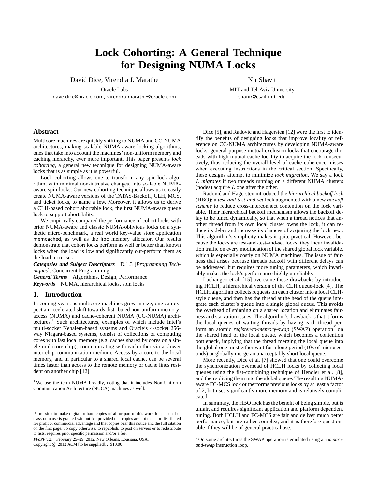# **Lock Cohorting: A General Technique for Designing NUMA Locks**

David Dice, Virendra J. Marathe

Oracle Labs

dave.dice@oracle.com, virendra.marathe@oracle.com

**Abstract**

Multicore machines are quickly shifting to NUMA and CC-NUMA architectures, making scalable NUMA-aware locking algorithms, ones that take into account the machines' non-uniform memory and caching hierarchy, ever more important. This paper presents *lock cohorting*, a general new technique for designing NUMA-aware locks that is as simple as it is powerful.

Lock cohorting allows one to transform any spin-lock algorithm, with minimal non-intrusive changes, into scalable NUMAaware spin-locks. Our new cohorting technique allows us to easily create NUMA-aware versions of the TATAS-Backoff, CLH, MCS, and ticket locks, to name a few. Moreover, it allows us to derive a CLH-based cohort abortable lock, the first NUMA-aware queue lock to support abortability.

We empirically compared the performance of cohort locks with prior NUMA-aware and classic NUMA-oblivious locks on a synthetic micro-benchmark, a real world key-value store application memcached, as well as the libc memory allocator. Our results demonstrate that cohort locks perform as well or better than known locks when the load is low and significantly out-perform them as the load increases.

*Categories and Subject Descriptors* D.1.3 [*Programming Techniques*]: Concurrent Programming

*General Terms* Algorithms, Design, Performance *Keywords* NUMA, hierarchical locks, spin locks

# **1. Introduction**

In coming years, as multicore machines grow in size, one can expect an accelerated shift towards distributed non-uniform memoryaccess (NUMA) and cache-coherent NUMA (CC-NUMA) architectures.<sup>1</sup> Such architectures, examples of which include Intel's multi-socket Nehalem-based systems and Oracle's 4-socket 256 way Niagara-based systems, consist of collections of computing cores with fast local memory (e.g. caches shared by cores on a single multicore chip), communicating with each other via a slower inter-chip communication medium. Access by a core to the local memory, and in particular to a shared local cache, can be several times faster than access to the remote memory or cache lines resident on another chip [12].

PPoPP'12, February 25–29, 2012, New Orleans, Lousiana, USA. Copyright  $\odot$  2012 ACM [to be supplied]...\$10.00

Dice [5], and Radović and Hagersten [12] were the first to identify the benefits of designing locks that improve locality of reference on CC-NUMA architectures by developing NUMA-aware locks: general-purpose mutual-exclusion locks that encourage threads with high mutual cache locality to acquire the lock consecutively, thus reducing the overall level of cache coherence misses when executing instructions in the critical section. Specifically, these designs attempt to minimize *lock migration*. We say a lock L *migrates* if two threads running on a different NUMA clusters (nodes) acquire  $L$  one after the other.

Radović and Hagersten introduced the *hierarchical backoff lock* (HBO): a *test-and-test-and-set* lock augmented with a new *backoff scheme* to reduce cross-interconnect contention on the lock variable. Their hierarchical backoff mechanism allows the backoff delay to be tuned dynamically, so that when a thread notices that another thread from its own local cluster owns the lock, it can reduce its delay and increase its chances of acquiring the lock next. This algorithm's simplicity makes it quite practical. However, because the locks are test-and-test-and-set locks, they incur invalidation traffic on every modification of the shared global lock variable, which is especially costly on NUMA machines. The issue of fairness that arises because threads backoff with different delays can be addressed, but requires more tuning parameters, which invariably makes the lock's performance highly unreliable.

Luchangco et al. [15] overcame these drawbacks by introducing HCLH, a hierarchical version of the CLH queue-lock [4]. The HCLH algorithm collects requests on each cluster into a local CLHstyle queue, and then has the thread at the head of the queue integrate each cluster's queue into a single global queue. This avoids the overhead of spinning on a shared location and eliminates fairness and starvation issues. The algorithm's drawback is that it forms the local queues of waiting threads by having each thread perform an atomic *register-to-memory-swap* (SWAP) operation<sup>2</sup> on the shared head of the local queue, which becomes a contention bottleneck, implying that the thread merging the local queue into the global one must either wait for a long period (10s of microseconds) or globally merge an unacceptably short local queue.

More recently, Dice et al. [7] showed that one could overcome the synchronization overhead of HCLH locks by collecting local queues using the flat-combining technique of Hendler et al. [8], and then splicing them into the global queue. The resulting NUMAaware FC-MCS lock outperforms previous locks by at least a factor of 2, but uses significantly more memory and is relatively complicated.

In summary, the HBO lock has the benefit of being simple, but is unfair, and requires significant application and platform dependent tuning. Both HCLH and FC-MCS are fair and deliver much better performance, but are rather complex, and it is therefore questionable if they will be of general practical use.

Nir Shavit

MIT and Tel-Aviv University shanir@csail.mit.edu

<sup>&</sup>lt;sup>1</sup> We use the term NUMA broadly, noting that it includes Non-Uniform Communication Architecture (NUCA) machines as well.

Permission to make digital or hard copies of all or part of this work for personal or classroom use is granted without fee provided that copies are not made or distributed for profit or commercial advantage and that copies bear this notice and the full citation on the first page. To copy otherwise, to republish, to post on servers or to redistribute to lists, requires prior specific permission and/or a fee.

<sup>2</sup> On some architectures the SWAP operation is emulated using a *compareand-swap* instruction loop.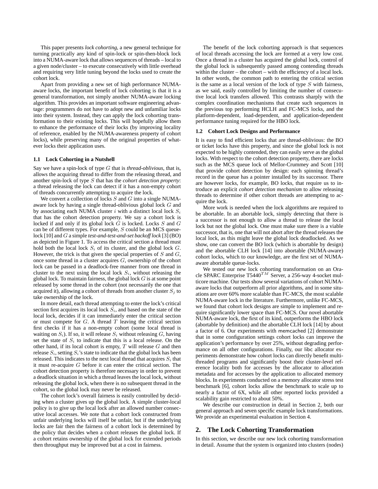This paper presents *lock cohorting*, a new general technique for turning practically any kind of spin-lock or spin-then-block lock into a NUMA-aware lock that allows sequences of threads – local to a given node/cluster – to execute consecutively with little overhead and requiring very little tuning beyond the locks used to create the cohort lock.

Apart from providing a new set of high performance NUMAaware locks, the important benefit of lock cohorting is that it is a general transformation, not simply another NUMA-aware locking algorithm. This provides an important software engineering advantage: programmers do not have to adopt new and unfamiliar locks into their system. Instead, they can apply the lock cohorting transformation to their existing locks. This will hopefully allow them to enhance the performance of their locks (by improving locality of reference, enabled by the NUMA-awareness property of cohort locks), while preserving many of the original properties of whatever locks their application uses.

#### **1.1 Lock Cohorting in a Nutshell**

Say we have a spin-lock of type G that is *thread-oblivious*, that is, allows the acquiring thread to differ from the releasing thread, and another spin-lock of type S that has the *cohort detection property*: a thread releasing the lock can detect if it has a non-empty cohort of threads concurrently attempting to acquire the lock.

We convert a collection of locks  $S$  and  $G$  into a single NUMAaware lock by having a single thread-oblivious global lock G and by associating each NUMA cluster i with a distinct local lock  $S_i$ that has the cohort detection property. We say a cohort lock is locked if and only if its global lock  $G$  is locked. Locks  $S$  and  $G$ can be of different types. For example, S could be an MCS queuelock [10] and G a simple *test-and-test-and-set backoff lock* [3] (BO) as depicted in Figure 1. To access the critical section a thread must hold both the local lock  $S_i$  of its cluster, and the global lock  $G$ . However, the trick is that given the special properties of  $S$  and  $G$ , once some thread in a cluster acquires G, ownership of the cohort lock can be passed in a deadlock-free manner from one thread in cluster to the next using the local lock  $S_i$ , without releasing the global lock. To maintain fairness, the global lock  $G$  is at some point released by some thread in the cohort (not necessarily the one that acquired it), allowing a cohort of threads from another cluster  $S_j$  to take ownership of the lock.

In more detail, each thread attempting to enter the lock's critical section first acquires its local lock  $S_i$ , and based on the state of the local lock, decides if it can immediately enter the critical section or must compete for  $G$ . A thread  $T$  leaving the critical section first checks if it has a non-empty cohort (some local thread is waiting on  $S_i$ ). If so, it will release  $S_i$  without releasing G, having set the state of  $S_i$  to indicate that this is a local release. On the other hand, if its local cohort is empty,  $T$  will release  $G$  and then release  $S_i$ , setting  $S_i$ 's state to indicate that the global lock has been released. This indicates to the next local thread that acquires  $S_i$  that it must re-acquire G before it can enter the critical section. The cohort detection property is therefore necessary in order to prevent a deadlock situation in which a thread leaves the local lock, without releasing the global lock, when there is no subsequent thread in the cohort, so the global lock may never be released.

The cohort lock's overall fairness is easily controlled by deciding when a cluster gives up the global lock. A simple cluster-local policy is to give up the local lock after an allowed number consecutive local accesses. We note that a cohort lock constructed from unfair underlying locks will itself be unfair, but if the underlying locks are fair then the fairness of a cohort lock is determined by the policy that decides when a cohort releases the global lock. If a cohort retains ownership of the global lock for extended periods then throughput may be improved but at a cost in fairness.

The benefit of the lock cohorting approach is that sequences of local threads accessing the lock are formed at a very low cost. Once a thread in a cluster has acquired the global lock, control of the global lock is subsequently passed among contending threads within the cluster – the cohort – with the efficiency of a local lock. In other words, the common path to entering the critical section is the same as a local version of the lock of type  $S$  with fairness, as we said, easily controlled by limiting the number of consecutive local lock transfers allowed. This contrasts sharply with the complex coordination mechanisms that create such sequences in the previous top performing HCLH and FC-MCS locks, and the platform-dependent, load-dependent, and application-dependent performance tuning required for the HBO lock.

## **1.2 Cohort Lock Designs and Performance**

It is easy to find efficient locks that are thread-oblivious: the BO or ticket locks have this property, and since the global lock is not expected to be highly contended, they can easily serve as the global locks. With respect to the cohort detection property, there are locks such as the MCS queue lock of Mellor-Crummey and Scott [10] that provide cohort detection by design: each spinning thread's record in the queue has a pointer installed by its successor. There are however locks, for example, BO locks, that require us to introduce an explicit *cohort detection mechanism* to allow releasing threads to determine if other cohort threads are attempting to acquire the lock.

More work is needed when the lock algorithms are required to be abortable. In an abortable lock, simply detecting that there is a successor is not enough to allow a thread to release the local lock but not the global lock. One must make sure there is a viable successor, that is, one that will not abort after the thread releases the local lock, as this might leave the global lock deadlocked. As we show, one can convert the BO lock (which is abortable by design) and the abortable CLH lock [14] into abortable (NUMA-aware) cohort locks, which to our knowledge, are the first set of NUMAaware abortable queue-locks.

We tested our new lock cohorting transformation on an Oracle SPARC Enterprise T5440<sup>TM</sup> Server, a 256-way 4-socket multicore machine. Our tests show several variations of cohort NUMAaware locks that outperform all prior algorithms, and in some situations are over 60% more scalable than FC-MCS, the most scalable NUMA-aware lock in the literature. Furthermore, unlike FC-MCS, we found that cohort lock designs are simple to implement and require significantly lower space than FC-MCS. Our novel abortable NUMA-aware lock, the first of its kind, outperforms the HBO lock (abortable by definition) and the abortable CLH lock [14] by about a factor of 6. Our experiments with memcached [2] demonstrate that in some configuration settings cohort locks can improve the application's performance by over 25%, without degrading performance on all other configurations. Finally, our libc allocator experiments demonstrate how cohort locks can directly benefit multithreaded programs and significantly boost their cluster-level reference locality both for accesses by the allocator to allocation metadata and for accesses by the application to allocated memory blocks. In experiments conducted on a memory allocator stress test benchmark [6], cohort locks allow the benchmark to scale up to nearly a factor of 6X, while all other reported locks provided a scalability gain restricted to about 50%.

We describe our construction in detail in Section 2, both our general approach and seven specific example lock transformations. We provide an experimental evaluation in Section 4.

## **2. The Lock Cohorting Transformation**

In this section, we describe our new lock cohorting transformation in detail. Assume that the system is organized into clusters (nodes)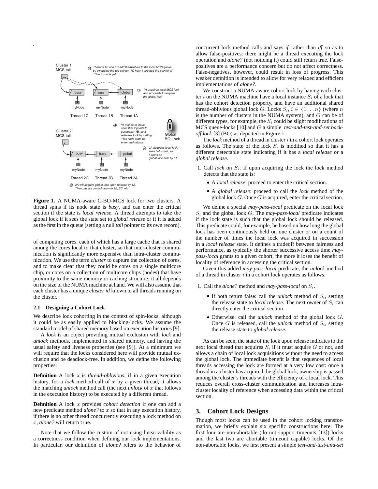

**Figure 1.** A NUMA-aware C-BO-MCS lock for two clusters. A thread spins if its node state is *busy*, and can enter the critical section if the state is *local release*. A thread attempts to take the global lock if it sees the state set to *global release* or if it is added as the first in the queue (setting a null *tail* pointer to its own record).

of computing cores, each of which has a large cache that is shared among the cores local to that cluster, so that inter-cluster communication is significantly more expensive than intra-cluster communication. We use the term *cluster* to capture the collection of cores, and to make clear that they could be cores on a single multicore chip, or cores on a collection of multicore chips (nodes) that have proximity to the same memory or caching structure; it all depends on the size of the NUMA machine at hand. We will also assume that each cluster has a unique *cluster id* known to all threads running on the cluster.

#### **2.1 Designing a Cohort Lock**

We describe lock cohorting in the context of spin-locks, although it could be as easily applied to blocking-locks. We assume the standard model of shared memory based on execution histories [9].

A *lock* is an object providing mutual exclusion with *lock* and *unlock* methods, implemented in shared memory, and having the usual safety and liveness properties (see [9]). At a minimum we will require that the locks considered here will provide mutual exclusion and be deadlock-free. In addition, we define the following properties:

**Definition** A lock *x* is *thread-oblivious*, if in a given execution history, for a *lock* method call of x by a given thread, it allows the matching *unlock* method call (the next *unlock* of x that follows in the execution history) to be executed by a different thread.

**Definition** A lock x provides *cohort detection* if one can add a new predicate method *alone?* to x so that in any execution history, if there is no other thread concurrently executing a lock method on x, *alone?* will return true.

Note that we follow the custom of not using linearizability as a correctness condition when defining our lock implementations. In particular, our definition of *alone?* refers to the behavior of concurrent lock method calls and says *if* rather than *iff* so as to allow false-positives: there might be a thread executing the lock operation and *alone?* (not noticing it) could still return true. Falsepositives are a performance concern but do not affect correctness. False-negatives, however, could result in loss of progress. This weaker definition is intended to allow for very relaxed and efficient implementations of *alone?*.

We construct a NUMA-aware cohort lock by having each cluster i on the NUMA machine have a local instance  $S_i$  of a lock that has the cohort detection property, and have an additional shared thread-oblivious global lock G. Locks  $S_i$ ,  $i \in \{1 \dots n\}$  (where n is the number of clusters in the NUMA system), and  $G$  can be of different types, for example, the  $S_i$  could be slight modifications of MCS queue-locks [10] and G a simple *test-and-test-and-set backoff lock* [3] (BO) as depicted in Figure 1.

The *lock* method of a thread in cluster i in a cohort lock operates as follows. The state of the lock  $S_i$  is modified so that it has a different detectable state indicating if it has a *local release* or a *global release*.

- 1. Call  $lock$  on  $S_i$ . If upon acquiring the lock the lock method detects that the state is:
	- A *local release*: proceed to enter the critical section.
	- A *global release*: proceed to call the *lock* method of the global lock  $G$ . Once  $G$  is acquired, enter the critical section.

We define a special *may-pass-local* predicate on the local lock  $S_i$  and the global lock  $G$ . The *may-pass-local* predicate indicates if the lock state is such that the global lock should be released. This predicate could, for example, be based on how long the global lock has been continuously held on one cluster or on a count of the number of times the local lock was acquired in succession in a *local release* state. It defines a tradeoff between fairness and performance, as typically the shorter successive access time *maypass-local* grants to a given cohort, the more it loses the benefit of locality of reference in accessing the critical section.

Given this added *may-pass-local* predicate, the *unlock* method of a thread in cluster  $i$  in a cohort lock operates as follows.

- 1. Call the *alone?* method and *may-pass-local* on Si.
	- If both return false: call the *unlock* method of  $S_i$ , setting the release state to *local release*. The next owner of  $S_i$  can directly enter the critical section.
	- Otherwise: call the *unlock* method of the global lock G. Once  $G$  is released, call the *unlock* method of  $S_i$ , setting the release state to *global release*.

As can be seen, the state of the lock upon release indicates to the next local thread that acquires  $S_i$  if it must acquire G or not, and allows a chain of local lock acquisitions without the need to access the global lock. The immediate benefit is that sequences of local threads accessing the lock are formed at a very low cost: once a thread in a cluster has acquired the global lock, ownership is passed among the cluster's threads with the efficiency of a local lock. This reduces overall cross-cluster communication and increases intracluster locality of reference when accessing data within the critical section.

# **3. Cohort Lock Designs**

Though most locks can be used in the cohort locking transformation, we briefly explain six specific constructions here: The first four are non-abortable (do not support timeouts [13]) locks and the last two are abortable (timeout capable) locks. Of the non-abortable locks, we first present a simple *test-and-test-and-set*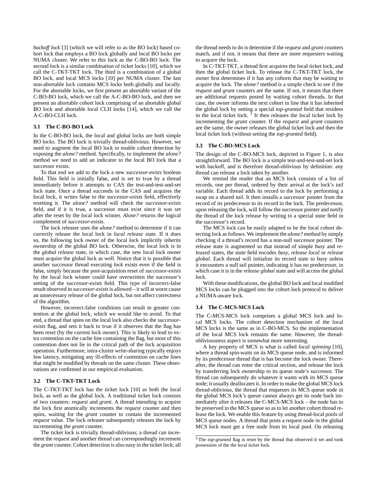*backoff lock* [3] (which we will refer to as the BO lock) based cohort lock that employs a BO lock globally and local BO locks per NUMA cluster. We refer to this lock as the C-BO-BO lock. The second lock is a similar combination of ticket locks [10], which we call the C-TKT-TKT lock. The third is a combination of a global BO lock, and local MCS locks [10] per NUMA cluster. The last non-abortable lock contains MCS locks both globally and locally. For the abortable locks, we first present an abortable variant of the C-BO-BO lock, which we call the A-C-BO-BO lock, and then we present an abortable cohort lock comprising of an abortable global BO lock and abortable local CLH locks [14], which we call the A-C-BO-CLH lock.

## **3.1 The C-BO-BO Lock**

In the C-BO-BO lock, the local and global locks are both simple BO locks. The BO lock is trivially thread-oblivious. However, we need to augment the local BO lock to enable cohort detection by exposing the *alone?* method. Specifically, to implement the *alone?* method we need to add an indicator to the local BO lock that a successor exists.

To that end we add to the lock a new *successor-exists* boolean field. This field is initially false, and is set to true by a thread immediately before it attempts to CAS the test-and-test-and-set lock state. Once a thread succeeds in the CAS and acquires the local lock, it writes false to the *successor-exists* field, effectively resetting it. The *alone?* method will check the *successor-exists* field, and if it is true, a successor must exist since it was set after the reset by the local lock winner. *Alone?* returns the logical complement of *successor-exists*.

The lock releaser uses the *alone?* method to determine if it can correctly release the local lock in *local release* state. If it does so, the following lock owner of the local lock implicitly inherits ownership of the global BO lock. Otherwise, the local lock is in the *global release* state, in which case, the new local lock owner must acquire the global lock as well. Notice that it is possible that another successor thread executing *lock* exists even if the field is false, simply because the post-acquisition reset of *successor-exists* by the local lock winner could have overwritten the successor's setting of the *successor-exists* field. This type of incorrect-false result observed in *successor-exists*is allowed – it will at worst cause an unnecessary release of the global lock, but not affect correctness of the algorithm.

However, incorrect-false conditions can result in greater contention at the global lock, which we would like to avoid. To that end, a thread that spins on the local lock also checks the *successorexists* flag, and sets it back to true if it observes that the flag has been reset (by the current lock owner). This is likely to lead to extra contention on the cache line containing the flag, but most of this contention does not lie in the critical path of the lock acquisition operation. Furthermore, intra-cluster write-sharing typically enjoys low latency, mitigating any ill-effects of contention on cache lines that might be modified by threads on the same cluster. These observations are confirmed in our empirical evaluation.

# **3.2 The C-TKT-TKT Lock**

The C-TKT-TKT lock has the ticket lock [10] as both the local lock, as well as the global lock. A traditional ticket lock consists of two counters: *request* and *grant*. A thread intending to acquire the lock first atomically increments the *request* counter and then spins, waiting for the *grant* counter to contain the incremented *request* value. The lock releaser subsequently releases the lock by incrementing the *grant* counter.

The ticket lock is trivially thread-oblivious; a thread can increment the *request* and another thread can correspondingly increment the *grant* counter. Cohort detection is also easy in the ticket lock; all the thread needs to do is determine if the *request* and *grant* counters match, and if not, it means that there are more requesters waiting to acquire the lock.

In C-TKT-TKT, a thread first acquires the local ticket lock, and then the global ticket lock. To release the C-TKT-TKT lock, the owner first determines if it has any cohorts that may be waiting to acquire the lock. The *alone?* method is a simple check to see if the *request* and *grant* counters are the same. If not, it means that there are additional requests posted by waiting cohort threads. In that case, the owner informs the next cohort in line that it has inherited the global lock by setting a special *top-granted* field that residees in the local ticket lock.<sup>3</sup> It then releases the local ticket lock by incrementing the *grant* counter. If the *request* and *grant* counters are the same, the owner releases the global ticket lock and then the local ticket lock (without setting the *top-granted* field).

# **3.3 The C-BO-MCS Lock**

The design of the C-BO-MCS lock, depicted in Figure 1, is also straightforward. The BO lock is a simple test-and-test-and-set lock with backoff, and is therefore thread-oblivious by definition: any thread can release a lock taken by another.

We remind the reader that an MCS lock consists of a list of records, one per thread, ordered by their arrival at the lock's *tail* variable. Each thread adds its record to the lock by performing a swap on a shared *tail*. It then installs a *successor* pointer from the record of its predecessor to its record in the lock. The predecessor, upon releasing the lock, will follow the successor pointer and notify the thread of the lock release by writing to a special *state* field in the successor's record.

The MCS lock can be easily adapted to be the local cohort detecting lock as follows. We implement the *alone?* method by simply checking if a thread's record has a non-null successor pointer. The release state is augmented so that instead of simple *busy* and *released* states, the *state* field encodes *busy*, *release local* or *release global*. Each thread will initialize its record state to busy unless it encounters a null tail pointer, indicating it has no predecessor, in which case it is in the *release global* state and will access the global lock.

With these modifications, the global BO lock and local modified MCS locks can be plugged into the cohort lock protocol to deliver a NUMA-aware lock.

#### **3.4 The C-MCS-MCS Lock**

The C-MCS-MCS lock comprises a global MCS lock and local MCS locks. The cohort detection mechanism of the local MCS locks is the same as in C-BO-MCS. So the implementation of the local MCS lock remains the same. However, the threadobliviousness aspect is somewhat more interesting.

A key property of MCS is what is called *local spinning* [10], where a thread spin-waits on its MCS queue node, and is informed by its predecessor thread that is has become the lock owner. Thereafter, the thread can enter the critical section, and release the lock by transferring lock ownership to its queue node's successor. The thread can subsequently do whatever it wants with its MCS queue node; it usually deallocates it. In order to make the global MCS lock thread-oblivious, the thread that enqueues its MCS queue node in the global MCS lock's queue cannot always get its node back immediately after it releases the C-MCS-MCS lock – the node has to be preserved in the MCS queue so as to let another cohort thread release the lock. We enable this feature by using thread-local pools of MCS queue nodes. A thread that posts a request node in the global MCS lock must get a free node from its local pool. On releasing

<sup>3</sup> The *top-granted* flag is reset by the thread that observed it set and took possession of the the local ticket lock.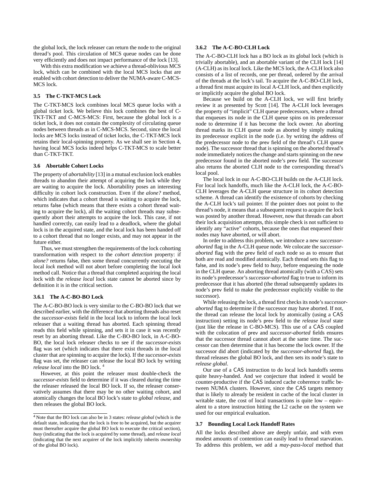the global lock, the lock releaser can return the node to the original thread's pool. This circulation of MCS queue nodes can be done very efficiently and does not impact performance of the lock [13].

With this extra modification we achieve a thread-oblivious MCS lock, which can be combined with the local MCS locks that are enabled with cohort detection to deliver the NUMA-aware C-MCS-MCS lock.

# **3.5 The C-TKT-MCS Lock**

The C-TKT-MCS lock combines local MCS queue locks with a global ticket lock. We believe this lock combines the best of C-TKT-TKT and C-MCS-MCS: First, because the global lock is a ticket lock, it does not contain the complexity of circulating queue nodes between threads as in C-MCS-MCS. Second, since the local locks are MCS locks instead of ticket locks, the C-TKT-MCS lock retains their local-spinning property. As we shall see in Section 4, having local MCS locks indeed helps C-TKT-MCS to scale better than C-TKT-TKT.

## **3.6 Abortable Cohort Locks**

The property of *abortability* [13] in a mutual exclusion lock enables threads to abandon their attempt of acquiring the lock while they are waiting to acquire the lock. Abortability poses an interesting difficulty in cohort lock construction. Even if the *alone?* method, which indicates that a cohort thread is waiting to acquire the lock, returns false (which means that there exists a cohort thread waiting to acquire the lock), all the waiting cohort threads may subsequently abort their attempts to acquire the lock. This case, if not handled correctly, can easily lead to a deadlock, where the global lock is in the acquired state, and the local lock has been handed off to a cohort thread that no longer exists, and may not appear in the future either.

Thus, we must strengthen the requirements of the lock cohorting transformation with respect to the *cohort detection* property: if *alone?* returns false, then some thread concurrently executing the local *lock* method will not abort before completing the local *lock* method call. Notice that a thread that completed acquiring the local lock with the *release local* lock state cannot be aborted since by definition it is in the critical section.

#### **3.6.1 The A-C-BO-BO Lock**

The A-C-BO-BO lock is very similar to the C-BO-BO lock that we described earlier, with the difference that aborting threads also reset the *successor-exists* field in the local lock to inform the local lock releaser that a waiting thread has aborted. Each spinning thread reads this field while spinning, and sets it in case it was recently reset by an aborting thread. Like the C-BO-BO lock, in A-C-BO-BO, the local lock releaser checks to see if the *successor-exists* flag was set (which indicates that there exist threads in the local cluster that are spinning to acquire the lock). If the *successor-exists* flag was set, the releaser can release the local BO lock by writing *release local* into the BO lock. <sup>4</sup>

However, at this point the releaser must double-check the *successor-exists* field to determine if it was cleared during the time the releaser released the local BO lock. If so, the releaser conservatively assumes that there may be no other waiting cohort, and atomically changes the local BO lock's state to *global release*, and then releases the global BO lock.

# **3.6.2 The A-C-BO-CLH Lock**

The A-C-BO-CLH lock has a BO lock as its global lock (which is trivially abortable), and an abortable variant of the CLH lock [14] (A-CLH) as its local lock. Like the MCS lock, the A-CLH lock also consists of a list of records, one per thread, ordered by the arrival of the threads at the lock's tail. To acquire the A-C-BO-CLH lock, a thread first must acquire its local A-CLH lock, and then explicitly or implicitly acquire the global BO lock.

Because we build on the A-CLH lock, we will first briefly review it as presented by Scott [14]. The A-CLH lock leverages the property of "implicit" CLH queue predecessors, where a thread that enqueues its node in the CLH queue spins on its predecessor node to determine if it has become the lock owner. An aborting thread marks its CLH queue node as aborted by simply making its predecessor explicit in the node (i.e. by writing the address of the predecessor node to the prev field of the thread's CLH queue node). The successor thread that is spinning on the aborted thread's node immediately notices the change and starts spinning on the new predecessor found in the aborted node's prev field. The successor also returns the aborted CLH node to the corresponding thread's local pool.

The local lock in our A-C-BO-CLH builds on the A-CLH lock. For local lock handoffs, much like the A-CLH lock, the A-C-BO-CLH leverages the A-CLH queue structure in its cohort detection scheme. A thread can identify the existence of cohorts by checking the A-CLH lock's tail pointer. If the pointer does not point to the thread's node, it means that a subsequent request to acquire the lock was posted by another thread. However, now that threads can abort their lock acquisition attempts, this simple check is not sufficient to identify any "active" cohorts, because the ones that enqueued their nodes may have aborted, or will abort.

In order to address this problem, we introduce a new *successoraborted* flag in the A-CLH queue node. We colocate the *successoraborted* flag with the prev field of each node so as to ensure that both are read and modified atomically. Each thread sets this flag to false, and its node's prev field to *busy*, before enqueuing the node in the CLH queue. An aborting thread atomically (with a CAS) sets its node's predecessor's *successor-aborted* flag to true to inform its predecessor that it has aborted (the thread subsequently updates its node's prev field to make the predecessor explicitly visible to the successor).

While releasing the lock, a thread first checks its node's*successoraborted* flag to determine if the successor may have aborted. If not, the thread can release the local lock by atomically (using a CAS instruction) setting its node's prev field to the *release local* state (just like the release in C-BO-MCS). This use of a CAS coupled with the colocation of prev and *successor-aborted* fields ensures that the successor thread cannot abort at the same time. The successor can then determine that it has become the lock owner. If the successor did abort (indicated by the *successor-aborted* flag), the thread releases the global BO lock, and then sets its node's state to *release global*.

Our use of a CAS instruction to do local lock handoffs seems quite heavy-handed. And we conjecture that indeed it would be counter-productive if the CAS induced cache coherence traffic between NUMA clusters. However, since the CAS targets memory that is likely to already be resident in cache of the local cluster in writable state, the cost of local transactions is quite low – equivalent to a store instruction hitting the L2 cache on the system we used for our empirical evaluation.

## **3.7 Bounding Local Lock Handoff Rates**

All the locks described above are deeply unfair, and with even modest amounts of contention can easily lead to thread starvation. To address this problem, we add a *may-pass-local* method that

<sup>4</sup> Note that the BO lock can also be in 3 states: *release global* (which is the default state, indicating that the lock is free to be acquired, but the acquirer must thereafter acquire the global BO lock to execute the critical section), *busy* (indicating that the lock is acquired by some thread), and *release local* (indicating that the next acquirer of the lock implicitly inherits ownership of the global BO lock).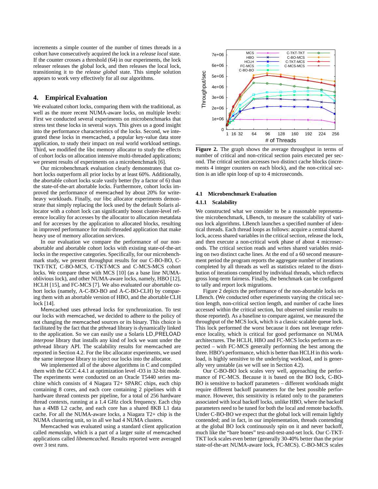increments a simple counter of the number of times threads in a cohort have consecutively acquired the lock in a *release local* state. If the counter crosses a threshold (64) in our experiments, the lock releaser releases the global lock, and then releases the local lock, transitioning it to the *release global* state. This simple solution appears to work very effectively for all our algorithms.

# **4. Empirical Evaluation**

We evaluated cohort locks, comparing them with the traditional, as well as the more recent NUMA-aware locks, on multiple levels: First we conducted several experiments on microbenchmarks that stress test these locks in several ways. This gives us a good insight into the performance characteristics of the locks. Second, we integrated these locks in memcached, a popular key-value data store application, to study their impact on real world workload settings. Third, we modified the libc memory allocator to study the effects of cohort locks on allocation intensive multi-threaded applications; we present results of experiments on a microbenchmark [6].

Our microbenchmark evaluation clearly demonstrates that cohort locks outperform all prior locks by at least 60%. Additionally, the abortable cohort locks scale vastly better (by a factor of 6) than the state-of-the-art abortable locks. Furthermore, cohort locks improved the performance of memcached by about 20% for writeheavy workloads. Finally, our libc allocator experiments demonstrate that simply replacing the lock used by the default Solaris allocator with a cohort lock can significantly boost cluster-level reference locality for accesses by the allocator to allocation metatdata and for accesses by the application to allocated blocks, resulting in improved performance for multi-threaded application that make heavy use of memory allocation services.

In our evaluation we compare the performance of our nonabortable and abortable cohort locks with existing state-of-the-art locks in the respective categories. Specifically, for our microbenchmark study, we present throughput results for our C-BO-BO, C-TKT-TKT, C-BO-MCS, C-TKT-MCS and C-MCS-MCS cohort locks. We compare these with MCS [10] (as a base line NUMAoblivious lock), and other NUMA-aware locks, namely, HBO [12], HCLH [15], and FC-MCS [7]. We also evaluated our abortable cohort locks (namely, A-C-BO-BO and A-C-BO-CLH) by comparing them with an abortable version of HBO, and the abortable CLH lock [14].

Memcached uses pthread locks for synchronization. To test our locks with memcached, we decided to adhere to the policy of not changing the memcached sources or its binary. This choice is facilitated by the fact that the pthread library is dynamically linked to the application. So we can easily use a Solaris LD PRELOAD *interpose* library that installs any kind of lock we want under the pthread library API. The scalability results for memcached are reported in Section 4.2. For the libc allocator experiments, we used the same interpose library to inject our locks into the allocator.

We implemented all of the above algorithms in C and compiled them with the GCC 4.4.1 at optimization level -O3 in 32-bit mode. The experiments were conducted on an Oracle T5440 series machine which consists of 4 Niagara T2+ SPARC chips, each chip containing 8 cores, and each core containing 2 pipelines with 4 hardware thread contexts per pipeline, for a total of 256 hardware thread contexts, running at a 1.4 GHz clock frequency. Each chip has a 4MB L2 cache, and each core has a shared 8KB L1 data cache. For all the NUMA-aware locks, a Niagara T2+ chip is the NUMA clustering unit, so in all we had 4 NUMA clusters.

Memcached was evaluated using a standard client application called *memaslap*, which is a part of a larger suite of memcached applications called *libmemcached*. Results reported were averaged over 3 test runs.



**Figure 2.** The graph shows the average throughput in terms of number of critical and non-critical section pairs executed per second. The critical section accesses two distinct cache blocks (increments 4 integer counters on each block), and the non-critical section is an idle spin loop of up to 4 microseconds.

# **4.1 Microbenchmark Evaluation**

# **4.1.1 Scalability**

We constructed what we consider to be a reasonable representative microbenchmark, LBench, to measure the scalability of various lock algorithms. LBench launches a specified number of identical threads. Each thread loops as follows: acquire a central shared lock, access shared variables in the critical section, release the lock, and then execute a non-critical work phase of about 4 microseconds. The critical section reads and writes shared variables residing on two distinct cache lines. At the end of a 60 second measurement period the program reports the aggregate number of iterations completed by all threads as well as statistics related to the distribution of iterations completed by individual threads, which reflects gross long-term fairness. Finally, the benchmark can be configured to tally and report lock migrations.

Figure 2 depicts the performance of the non-abortable locks on LBench. (We conducted other experiments varying the critical section length, non-critical section length, and number of cache lines accessed within the critical section, but observed similar results to those reported). As a baseline to compare against, we measured the throughput of the MCS lock, which is a classic scalable queue lock. This lock performed the worst because it does not leverage reference locality, which is critical for good performance on NUMA architectures. The HCLH, HBO and FC-MCS locks perform as expected – with FC-MCS generally performing the best among the three. HBO's performance, which is better than HCLH in this workload, is highly sensitive to the underlying workload, and is generally very unstable (as we will see in Section 4.2).

Our C-BO-BO lock scales very well, approaching the performance of FC-MCS. Because it is based on the BO lock, C-BO-BO is sensitive to backoff parameters – different workloads might require different backoff parameters for the best possible performance. However, this sensitivity is related only to the parameters associated with local backoff locks, unlike HBO, where the backoff parameters need to be tuned for both the local and remote backoffs. Under C-BO-BO we expect that the global lock will remain lightly contended; and in fact, in our implementation, threads contending at the global BO lock continuously spin on it and never backoff, much like the "bare bones" test-and-test-and-set lock. Our C-TKT-TKT lock scales even better (generally 30-40% better than the prior state-of-the-art NUMA-aware lock, FC-MCS). C-BO-MCS scales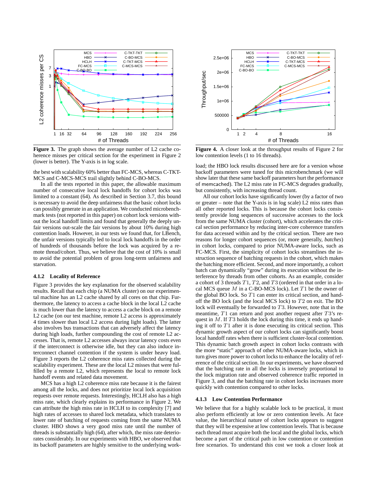

**Figure 3.** The graph shows the average number of L2 cache coherence misses per critical section for the experiment in Figure 2 (lower is better). The Y-axis is in log scale.

the best with scalability 60% better than FC-MCS, whereas C-TKT-MCS and C-MCS-MCS trail slightly behind C-BO-MCS.

In all the tests reported in this paper, the allowable maximum number of consecutive local lock handoffs for cohort locks was limited to a constant (64). As described in Section 3.7, this bound is necessary to avoid the deep unfairness that the basic cohort locks can possibly generate in an application. We conducted microbenchmark tests (not reported in this paper) on cohort lock versions without the local handoff limits and found that generally the deeply unfair versions out-scale the fair versions by about 10% during high contention loads. However, in our tests we found that, for LBench, the unfair versions typically led to local lock handoffs in the order of hundreds of thousands before the lock was acquired by a remote thread/cohort. Thus, we believe that the cost of 10% is small to avoid the potential problem of gross long-term unfairness and starvation.

# **4.1.2 Locality of Reference**

Figure 3 provides the key explanation for the observed scalability results. Recall that each chip (a NUMA cluster) on our experimental machine has an L2 cache shared by all cores on that chip. Furthermore, the latency to access a cache block in the local L2 cache is much lower than the latency to access a cache block on a remote L2 cache (on our test machine, remote L2 access is approximately 4 times slower than local L2 access during light loads). The latter also involves bus transactions that can adversely affect the latency during high loads, further compounding the cost of remote L2 accesses. That is, remote L2 accesses always incur latency costs even if the interconnect is otherwise idle, but they can also induce interconnect channel contention if the system is under heavy load. Figure 3 reports the L2 coherence miss rates collected during the scalability experiment. These are the local L2 misses that were fulfilled by a remote L2, which represents the local to remote lock handoff events and related data movement.

MCS has a high L2 coherence miss rate because it is the fairest among all the locks, and does not prioritize local lock acquisition requests over remote requests. Interestingly, HCLH also has a high miss rate, which clearly explains its performance in Figure 2. We can attribute the high miss rate in HCLH to its complexity [7] and high rates of accesses to shared lock metadata, which translates to lower rate of batching of requests coming from the same NUMA cluster. HBO shows a very good miss rate until the number of threads is substantially high (64), after which, the miss rate deteriorates considerably. In our experiments with HBO, we observed that its backoff parameters are highly sensitive to the underlying work-



**Figure 4.** A closer look at the throughput results of Figure 2 for low contention levels (1 to 16 threads).

load; the HBO lock results discussed here are for a version whose backoff parameters were tuned for this microbenchmark (we will show later that these same backoff parameters hurt the performance of memcached). The L2 miss rate in FC-MCS degrades gradually, but consistently, with increasing thread count.

All our cohort locks have significantly lower (by a factor of two or greater – note that the Y-axis is in log scale) L2 miss rates than all other reported locks. This is because the cohort locks consistently provide long sequences of successive accesses to the lock from the same NUMA cluster (cohort), which accelerates the critical section performance by reducing inter-core coherence transfers for data accessed within and by the critical section. There are two reasons for longer cohort sequences (or, more generally, *batches*) in cohort locks, compared to prior NUMA-aware locks, such as FC-MCS. First, the simplicity of cohort locks streamlines the instruction sequence of batching requests in the cohort, which makes the batching more efficient. Second, and more importantly, a cohort batch can dynamically "grow" during its execution without the interference by threads from other cohorts. As an example, consider a cohort of 3 threads T1, T2, and T3 (ordered in that order in a local MCS queue  $M$  in a C-BO-MCS lock). Let  $T1$  be the owner of the global BO lock. So  $T1$  can enter its critical section, and handoff the BO lock (and the local MCS lock) to T2 on exit. The BO lock will eventually be forwarded to T3. However, note that in the meantime, T1 can return and post another request after T3's request in  $M$ . If  $T3$  holds the lock during this time, it ends up handing it off to  $T1$  after it is done executing its critical section. This dynamic growth aspect of our cohort locks can significantly boost local handoff rates when there is sufficient cluster-local contention. This dynamic batch growth aspect in cohort locks contrasts with the more "static" approach of other NUMA-aware locks, which in turn gives more power to cohort locks to enhance the locality of reference of the critical section. In our experiments, we have observed that the batching rate in all the locks is inversely proportional to the lock migration rate and observed coherence traffic reported in Figure 3, and that the batching rate in cohort locks increases more quickly with contention compared to other locks.

#### **4.1.3 Low Contention Performance**

We believe that for a highly scalable lock to be practical, it must also perform efficiently at low or zero contention levels. At face value, the hierarchical nature of cohort locks appears to suggest that they will be expensive at low contention levels. That is because each thread must acquire both the local and the global locks, which become a part of the critical path in low contention or contention free scenarios. To understand this cost we took a closer look at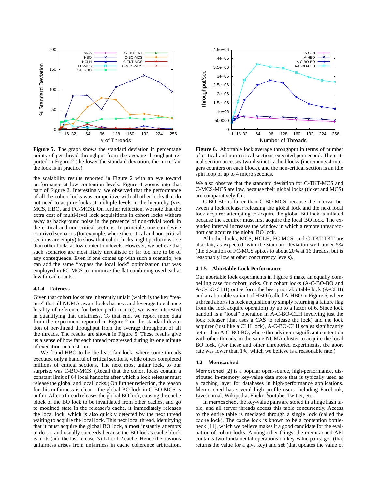

**Figure 5.** The graph shows the standard deviation in percentage points of per-thread throughput from the average throughput reported in Figure 2 (the lower the standard deviation, the more fair the lock is in practice).

the scalability results reported in Figure 2 with an eye toward performance at low contention levels. Figure 4 zooms into that part of Figure 2. Interestingly, we observed that the performance of all the cohort locks was competitive with all other locks that do not need to acquire locks at multiple levels in the hierarchy (viz. MCS, HBO, and FC-MCS). On further reflection, we note that the extra cost of multi-level lock acquisitions in cohort locks withers away as background noise in the presence of non-trivial work in the critical and non-critical sections. In principle, one can devise contrived scenarios (for example, where the critical and non-critical sections are empty) to show that cohort locks might perform worse than other locks at low contention levels. However, we believe that such scenarios are most likely unrealistic or far too rare to be of any consequence. Even if one comes up with such a scenario, we can add the same "bypass the local lock" optimization that was employed in FC-MCS to minimize the flat combining overhead at low thread counts.

# **4.1.4 Fairness**

Given that cohort locks are inherently unfair (which is the key "feature" that all NUMA-aware locks harness and leverage to enhance locality of reference for better performance), we were interested in quantifying that unfairness. To that end, we report more data from the experiment reported in Figure 2 on the standard deviation of per-thread throughput from the average throughput of all the threads. The results are shown in Figure 5. These results give us a sense of how far each thread progressed during its one minute of execution in a test run.

We found HBO to be the least fair lock, where some threads executed only a handful of critical sections, while others completed millions of critical sections. The next most unfair lock, to our surprise, was C-BO-MCS. (Recall that the cohort locks contain a constant limit of 64 local handoffs after which a lock releaser must release the global and local locks.) On further reflection, the reason for this unfairness is clear – the global BO lock in C-BO-MCS is unfair. After a thread releases the global BO lock, causing the cache block of the BO lock to be invalidated from other caches, and go to modified state in the releaser's cache, it immediately releases the local lock, which is also quickly detected by the next thread waiting to acquire the local lock. This next local thread, identifying that it must acquire the global BO lock, almost instantly attempts to do so, and usually succeeds because the BO lock's cache block is in its (and the last releaser's) L1 or L2 cache. Hence the obvious unfairness arises from unfairness in cache coherence arbitration.



**Figure 6.** Abortable lock average throughput in terms of number of critical and non-critical sections executed per second. The critical section accesses two distinct cache blocks (increments 4 integers counters on each block), and the non-critical section is an idle spin loop of up to 4 micro seconds.

We also observe that the standard deviation for C-TKT-MCS and C-MCS-MCS are low, because their global locks (ticket and MCS) are comparatively fair.

C-BO-BO is fairer than C-BO-MCS because the interval between a lock releaser releasing the global lock and the next local lock acquirer attempting to acquire the global BO lock is inflated because the acquirer must first acquire the local BO lock. The extended interval increases the window in which a remote thread/cohort can acquire the global BO lock.

All other locks, MCS, HCLH, FC-MCS, and C-TKT-TKT are also fair, as expected, with the standard deviation well under 5% (the deviation of FC-MCS spikes to about 20% at 16 threads, but is reasonably low at other concurrency levels).

## **4.1.5 Abortable Lock Performance**

Our abortable lock experiments in Figure 6 make an equally compelling case for cohort locks. Our cohort locks (A-C-BO-BO and A-C-BO-CLH) outperform the best prior abortable lock (A-CLH) and an abortable variant of HBO (called A-HBO in Figure 6, where a thread aborts its lock acquisition by simply returning a failure flag from the lock acquire operation) by up to a factor of 6. Since lock handoff is a "local" operation in A-C-BO-CLH involving just the lock releaser (that uses a CAS to release the lock) and the lock acquirer (just like a CLH lock), A-C-BO-CLH scales significantly better than A-C-BO-BO, where threads incur significant contention with other threads on the same NUMA cluster to acquire the local BO lock. (For these and other unreported experiments, the abort rate was lower than 1%, which we believe is a reasonable rate.)

## **4.2** Memcached

Memcached [2] is a popular open-source, high-performance, distributed in-memory key-value data store that is typically used as a caching layer for databases in high-performance applications. Memcached has several high profile users including Facebook, LiveJournal, Wikipedia, Flickr, Youtube, Twitter, etc.

In memcached, the key-value pairs are stored in a huge hash table, and all server threads access this table concurrently. Access to the entire table is mediated through a single lock (called the cache lock). The cache lock is known to be a contention bottleneck [11], which we believe makes it a good candidate for the evaluation of cohort locks. Among other things, the memcached API contains two fundamental operations on key-value pairs: get (that returns the value for a give key) and set (that updates the value of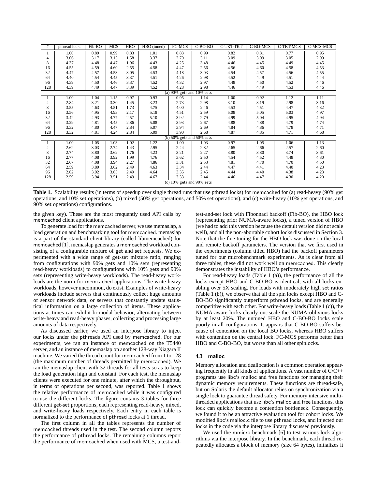| #                               | pthread locks | Fib-BO | <b>MCS</b> | <b>HBO</b> | HBO (tuned) | FC-MCS                          | $C-BO-BO$ | C-TKT-TKT | C-BO-MCS | <b>C-TKT-MCS</b> | C-MCS-MCS |
|---------------------------------|---------------|--------|------------|------------|-------------|---------------------------------|-----------|-----------|----------|------------------|-----------|
|                                 | 1.00          | 0.89   | 0.99       | 0.83       | 1.01        | 0.83                            | 0.99      | 0.82      | 0.81     | 0.77             | 0.95      |
| 4                               | 3.06          | 3.17   | 3.15       | 1.58       | 3.37        | 2.70                            | 3.11      | 3.09      | 3.09     | 3.05             | 2.99      |
| 8                               | 4.37          | 4.48   | 4.47       | 1.96       | 4.43        | 4.25                            | 3.48      | 4.46      | 4.45     | 4.49             | 4.45      |
| 16                              | 4.55          | 4.59   | 4.60       | 2.55       | 4.58        | 4.47                            | 2.56      | 4.56      | 4.60     | 4.58             | 4.53      |
| 32                              | 4.47          | 4.57   | 4.53       | 3.05       | 4.53        | 4.18                            | 3.03      | 4.54      | 4.57     | 4.56             | 4.55      |
| 64                              | 4.40          | 4.54   | 4.45       | 3.37       | 4.51        | 4.26                            | 2.98      | 4.52      | 4.49     | 4.51             | 4.44      |
| 96                              | 4.39          | 4.50   | 4.46       | 3.37       | 4.52        | 4.32                            | 2.97      | 4.48      | 4.50     | 4.52             | 4.46      |
| 128                             | 4.39          | 4.49   | 4.47       | 3.39       | 4.52        | 4.28                            | 2.98      | 4.46      | 4.49     | 4.53             | 4.46      |
| (a) $90\%$ gets and $10\%$ sets |               |        |            |            |             |                                 |           |           |          |                  |           |
|                                 | 1.00          | 1.04   | 1.15       | 0.97       | 0.93        | 0.95                            | 1.14      | 1.00      | 0.92     | 1.12             | 1.11      |
| 4                               | 2.84          | 3.21   | 3.30       | 1.45       | 3.23        | 2.73                            | 2.98      | 3.10      | 3.19     | 2.98             | 3.16      |
| 8                               | 3.55          | 4.63   | 4.51       | 1.73       | 4.75        | 4.00                            | 2.46      | 4.53      | 4.51     | 4.47             | 4.32      |
| 16                              | 3.56          | 4.95   | 4.93       | 2.17       | 5.18        | 4.51                            | 2.59      | 5.08      | 5.05     | 5.03             | 4.97      |
| 32                              | 3.42          | 4.93   | 4.77       | 2.57       | 5.10        | 3.92                            | 2.79      | 4.99      | 5.04     | 4.95             | 4.94      |
| 64                              | 3.29          | 4.81   | 4.45       | 2.86       | 5.08        | 3.93                            | 2.67      | 4.88      | 4.88     | 4.79             | 4.74      |
| 96                              | 3.32          | 4.80   | 4.47       | 2.84       | 5.07        | 3.94                            | 2.69      | 4.84      | 4.86     | 4.78             | 4.71      |
| 128                             | 3.32          | 4.81   | 4.24       | 2.84       | 5.09        | 3.90                            | 2.68      | 4.87      | 4.85     | 4.71             | 4.68      |
|                                 |               |        |            |            |             | (b) $50\%$ gets and $50\%$ sets |           |           |          |                  |           |
|                                 | 1.00          | 1.05   | 1.03       | 1.02       | 1.22        | 1.00                            | 1.03      | 0.97      | 1.05     | 1.06             | 1.13      |
| 4                               | 2.62          | 3.03   | 2.74       | 1.43       | 2.95        | 2.44                            | 2.82      | 2.65      | 2.66     | 2.57             | 2.60      |
| 8                               | 2.74          | 3.80   | 3.62       | 1.76       | 4.23        | 3.21                            | 2.27      | 3.80      | 3.80     | 3.74             | 3.61      |
| 16                              | 2.77          | 4.08   | 3.92       | 1.99       | 4.76        | 3.62                            | 2.50      | 4.54      | 4.52     | 4.48             | 4.30      |
| 32                              | 2.67          | 4.08   | 3.94       | 2.27       | 4.86        | 3.31                            | 2.53      | 4.81      | 4.70     | 4.70             | 4.50      |
| 64                              | 2.59          | 3.89   | 3.62       | 2.49       | 4.63        | 3.34                            | 2.44      | 4.47      | 4.41     | 4.40             | 4.23      |
| 96                              | 2.62          | 3.92   | 3.65       | 2.49       | 4.64        | 3.35                            | 2.45      | 4.44      | 4.40     | 4.38             | 4.23      |
| 128                             | 2.59          | 3.94   | 3.51       | 2.49       | 4.67        | 3.33                            | 2.44      | 4.46      | 4.47     | 4.30             | 4.20      |
| $(c)$ 10% gets and 90% sets     |               |        |            |            |             |                                 |           |           |          |                  |           |

**Table 1.** Scalability results (in terms of speedup over single thread runs that use pthread locks) for memcached for (a) read-heavy (90% get operations, and 10% set operations), (b) mixed (50% get operations, and 50% set operations), and (c) write-heavy (10% get operations, and 90% set operations) configurations.

the given key). These are the most frequently used API calls by memcached client applications.

To generate load for the memcached server, we use memaslap, a load generation and benchmarking tool for memcached. memaslap is a part of the standard client library (called libmemcached) for memcached [1]. memaslap generates a memcached workload consisting of a configurable mixture of get and set requests. We experimented with a wide range of get-set mixture ratio, ranging from configurations with 90% gets and 10% sets (representing read-heavy workloads) to configurations with 10% gets and 90% sets (representing write-heavy workloads). The read-heavy workloads are the norm for memcached applications. The write-heavy workloads, however uncommon, do exist. Examples of write-heavy workloads include servers that continuously collect huge amounts of sensor network data, or servers that constantly update statistical information on a large collection of items. These applications at times can exhibit bi-modal behavior, alternating between write-heavy and read-heavy phases, collecting and processing large amounts of data respectively.

As discussed earlier, we used an interpose library to inject our locks under the pthreads API used by memcached. For our experiments, we ran an instance of memcached on the T5440 server, and an instance of memaslap on another 128-way Niagara II machine. We varied the thread count for memcached from 1 to 128 (the maximum number of threads permitted by memcached). We ran the memaslap client with 32 threads for all tests so as to keep the load generation high and constant. For each test, the memaslap clients were executed for one minute, after which the throughput, in terms of operations per second, was reported. Table 1 shows the relative performance of memcached while it was configured to use the different locks. The figure contains 3 tables for three different get-set proportions, each representing read-heavy, mixed, and write-heavy loads respectively. Each entry in each table is normalized to the performance of pthread locks at 1 thread.

The first column in all the tables represents the number of memcached threads used in the test. The second column reports the performance of pthread locks. The remaining columns report the performance of memcached when used with MCS, a test-andtest-and-set lock with Fibonnaci backoff (Fib-BO), the HBO lock (representing prior NUMA-aware locks), a tuned version of HBO (we had to add this version because the default version did not scale well), and all the non-abortable cohort locks discussed in Section 3. Note that the fine tuning for the HBO lock was done on the local and remote backoff parameters. The version that we first used in the experiments (column titled HBO) had the backoff parameters tuned for our microbenchmark experiments. As is clear from all three tables, these did not work well on memcached. This clearly demonstrates the instability of HBO's performance.

For read-heavy loads (Table 1 (a)), the performance of all the locks except HBO and C-BO-BO is identical, with all locks enabling over 5X scaling. For loads with moderately high set ratios (Table 1 (b)), we observe that all the spin locks except HBO and C-BO-BO significantly outperform pthread locks, and are generally competitive with each other. For write-heavy loads (Table 1 (c)), the NUMA-aware locks clearly out-scale the NUMA-oblivious locks by at least 20%. The untuned HBO and C-BO-BO locks scale poorly in all configurations. It appears that C-BO-BO suffers because of contention on the local BO locks, whereas HBO suffers with contention on the central lock. FC-MCS performs better than HBO and C-BO-BO, but worse than all other spinlocks.

# **4.3** malloc

Memory allocation and deallocation is a common operation appearing frequently in all kinds of applications. A vast number of  $C/C++$ programs use libc's malloc and free functions for managing their dynamic memory requirements. These functions are thread-safe, but on Solaris the default allocator relies on synchronization via a single lock to guarantee thread safety. For memory intensive multithreaded applications that use libc's malloc and free functions, this lock can quickly become a contention bottleneck. Consequently, we found it to be an attractive evaluation tool for cohort locks. We modified libc's malloc.c file to use pthread locks, and injected our locks in the code via the interpose library discussed previously.

We used the mmicro benchmark [6] to test various lock algorithms via the interpose library. In the benchmark, each thread repeatedly allocates a block of memory (size 64 bytes), initializes it